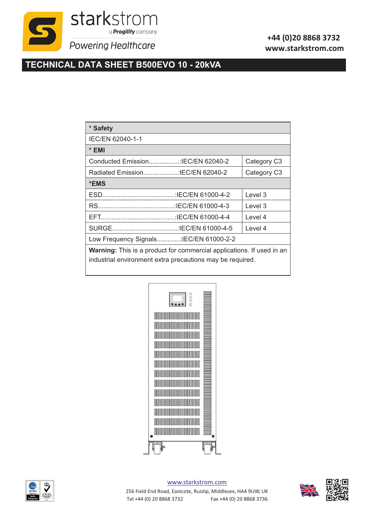

## **+44 (0)20 8868 3732 www.starkstrom.com**

## **TECHNICAL DATA SHEET B500EVO 10 - 20kVA**

| * Safety                                                                                                                           |             |  |  |  |  |  |
|------------------------------------------------------------------------------------------------------------------------------------|-------------|--|--|--|--|--|
| IEC/EN 62040-1-1                                                                                                                   |             |  |  |  |  |  |
| * EMI                                                                                                                              |             |  |  |  |  |  |
|                                                                                                                                    | Category C3 |  |  |  |  |  |
|                                                                                                                                    | Category C3 |  |  |  |  |  |
| *EMS                                                                                                                               |             |  |  |  |  |  |
|                                                                                                                                    | Level 3     |  |  |  |  |  |
|                                                                                                                                    | Level 3     |  |  |  |  |  |
|                                                                                                                                    | Level 4     |  |  |  |  |  |
|                                                                                                                                    | Level 4     |  |  |  |  |  |
| Low Frequency Signals:IEC/EN 61000-2-2                                                                                             |             |  |  |  |  |  |
| Warning: This is a product for commercial applications. If used in an<br>industrial environment extra precautions may be required. |             |  |  |  |  |  |





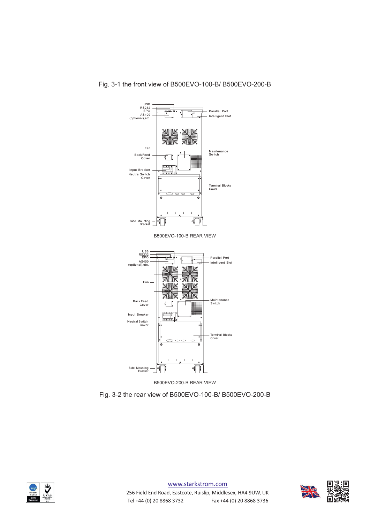